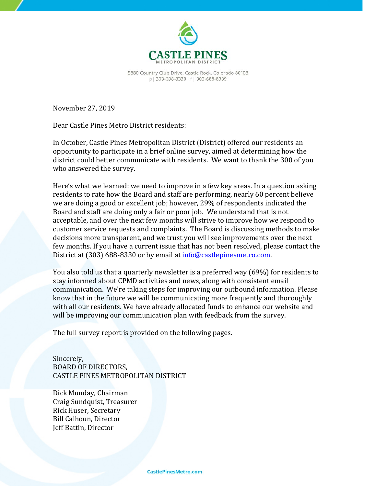

5880 Country Club Drive, Castle Rock, Colorado 80108 p | 303-688-8330 f | 303-688-8339

November 27, 2019

Dear Castle Pines Metro District residents:

In October, Castle Pines Metropolitan District (District) offered our residents an opportunity to participate in a brief online survey, aimed at determining how the district could better communicate with residents. We want to thank the 300 of you who answered the survey.

Here's what we learned: we need to improve in a few key areas. In a question asking residents to rate how the Board and staff are performing, nearly 60 percent believe we are doing a good or excellent job; however, 29% of respondents indicated the Board and staff are doing only a fair or poor job. We understand that is not acceptable, and over the next few months will strive to improve how we respond to customer service requests and complaints. The Board is discussing methods to make decisions more transparent, and we trust you will see improvements over the next few months. If you have a current issue that has not been resolved, please contact the District at (303) 688-8330 or by email at [info@castlepinesmetro.com.](mailto:info@castlepinesmetro.com)

You also told us that a quarterly newsletter is a preferred way (69%) for residents to stay informed about CPMD activities and news, along with consistent email communication. We're taking steps for improving our outbound information. Please know that in the future we will be communicating more frequently and thoroughly with all our residents. We have already allocated funds to enhance our website and will be improving our communication plan with feedback from the survey.

The full survey report is provided on the following pages.

Sincerely, BOARD OF DIRECTORS, CASTLE PINES METROPOLITAN DISTRICT

Dick Munday, Chairman Craig Sundquist, Treasurer Rick Huser, Secretary Bill Calhoun, Director Jeff Battin, Director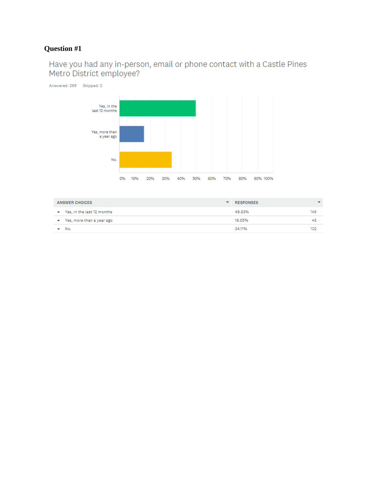# Have you had any in-person, email or phone contact with a Castle Pines Metro District employee?



| ANSWER CHOICES<br>↽ |                              | RESPONSES | ▼   |
|---------------------|------------------------------|-----------|-----|
|                     | ▼ Yes, in the last 12 months | 49.83%    | 149 |
|                     | Yes, more than a year ago    | 16.05%    | 48  |
|                     | $\blacktriangleright$ No.    | 34.11%    | 102 |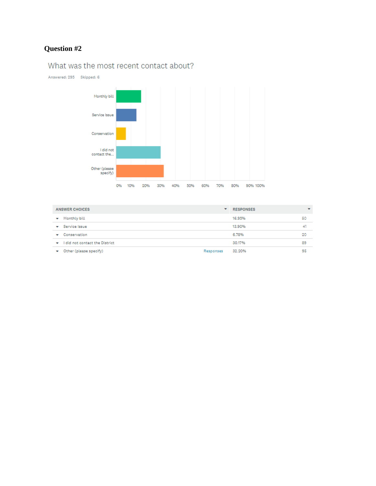## What was the most recent contact about?

Answered: 295 Skipped: 6



| <b>ANSWER CHOICES</b>                    | ▼         | <b>RESPONSES</b> | $\overline{\phantom{a}}$ |
|------------------------------------------|-----------|------------------|--------------------------|
| Monthly bill<br>▼                        |           | 16.95%           | 50                       |
| Service Issue<br>$\mathbf{v}$            |           | 13.90%           | 41                       |
| Conservation<br>$\overline{\phantom{a}}$ |           | 6.78%            | 20                       |
| I did not contact the District<br>↽      |           | 30.17%           | 89                       |
| Other (please specify)                   | Responses | 32.20%           | 95                       |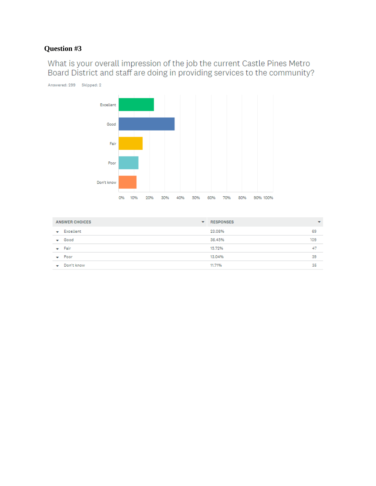What is your overall impression of the job the current Castle Pines Metro<br>Board District and staff are doing in providing services to the community?



| <b>ANSWER CHOICES</b> | <b>RESPONSES</b><br>$\overline{\phantom{a}}$ | $\overline{\phantom{a}}$ |
|-----------------------|----------------------------------------------|--------------------------|
| $\bullet$ Excellent   | 23.08%                                       | 69                       |
| $\div$ Good           | 36.45%                                       | 109                      |
| $\leftarrow$ Fair     | 15.72%                                       | 47                       |
| $\sqrt{P}$ Poor       | 13.04%                                       | 39                       |
| Don't know<br>-       | 11.71%                                       | 35                       |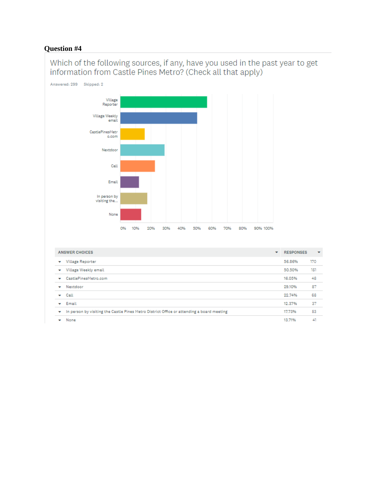Which of the following sources, if any, have you used in the past year to get information from Castle Pines Metro? (Check all that apply)



| <b>ANSWER CHOICES</b>                                                                          |  | <b>RESPONSES</b> | $\overline{\phantom{a}}$ |
|------------------------------------------------------------------------------------------------|--|------------------|--------------------------|
| Village Reporter<br>▼                                                                          |  | 56.86%           | 170                      |
| Village Weekly email<br>٠                                                                      |  | 50.50%           | 151                      |
| CastlePinesMetro.com<br>۰                                                                      |  | 16.05%           | 48                       |
| Nextdoor<br>۰                                                                                  |  | 29.10%           | 87                       |
| Call<br>۰                                                                                      |  | 22.74%           | 68                       |
| Email                                                                                          |  | 12.37%           | 37                       |
| In person by visiting the Castle Pines Metro District Office or attending a board meeting<br>۰ |  | 17.73%           | 53                       |
| None                                                                                           |  | 13.71%           | 41                       |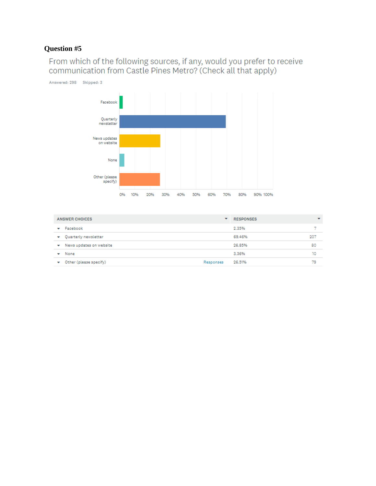From which of the following sources, if any, would you prefer to receive<br>communication from Castle Pines Metro? (Check all that apply)



| <b>ANSWER CHOICES</b>        |                     | $\overline{\phantom{a}}$<br><b>RESPONSES</b> |
|------------------------------|---------------------|----------------------------------------------|
| Facebook<br>▼                | 2.35%               |                                              |
| Quarterly newsletter<br>↽    | 69.46%              | 207                                          |
| News updates on website<br>↽ | 26.85%              | 80                                           |
| None<br>▼                    | 3.36%               | 10                                           |
| Other (please specify)<br>▼  | 26.51%<br>Responses | 79                                           |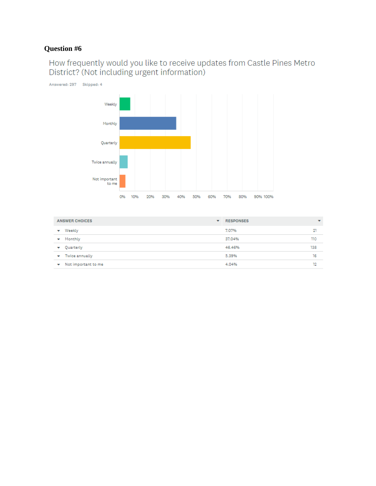How frequently would you like to receive updates from Castle Pines Metro<br>District? (Not including urgent information)



| <b>ANSWER CHOICES</b>                | <b>RESPONSES</b><br>۰ | $\overline{\phantom{a}}$ |
|--------------------------------------|-----------------------|--------------------------|
| Weekly<br>▼                          | 7.07%                 | 21                       |
| Monthly<br>▼                         | 37.04%                | 110                      |
| Quarterly<br>▼                       | 46.46%                | 138                      |
| $\blacktriangleright$ Twice annually | 5.39%                 | 16                       |
| Not important to me<br>۰             | 4.04%                 | 12                       |